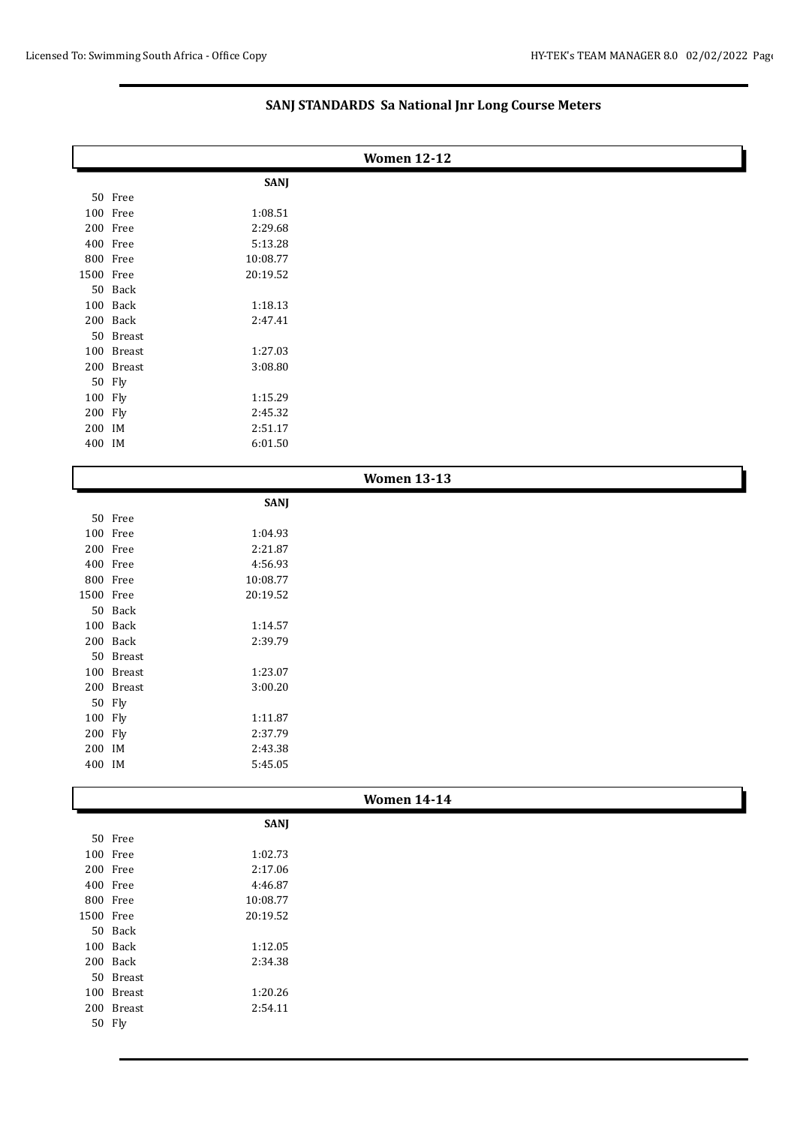| <b>Women 12-12</b> |            |             |                    |  |
|--------------------|------------|-------------|--------------------|--|
|                    |            | <b>SANJ</b> |                    |  |
|                    | 50 Free    |             |                    |  |
|                    | 100 Free   | 1:08.51     |                    |  |
|                    | 200 Free   | 2:29.68     |                    |  |
|                    | 400 Free   | 5:13.28     |                    |  |
|                    | 800 Free   | 10:08.77    |                    |  |
| 1500 Free          |            | 20:19.52    |                    |  |
|                    | 50 Back    |             |                    |  |
|                    | 100 Back   | 1:18.13     |                    |  |
|                    | 200 Back   | 2:47.41     |                    |  |
|                    | 50 Breast  |             |                    |  |
|                    | 100 Breast | 1:27.03     |                    |  |
|                    | 200 Breast | 3:08.80     |                    |  |
|                    | 50 Fly     |             |                    |  |
| 100 Fly            |            | 1:15.29     |                    |  |
| 200 Fly            |            | 2:45.32     |                    |  |
| 200 IM             |            | 2:51.17     |                    |  |
| 400 IM             |            | 6:01.50     |                    |  |
|                    |            |             | <b>Women 13-13</b> |  |
|                    |            | <b>SANJ</b> |                    |  |
|                    | 50 Free    |             |                    |  |
|                    | 100 Free   | 1:04.93     |                    |  |
|                    | 200 Free   | 2:21.87     |                    |  |
|                    | 400 Free   | 4:56.93     |                    |  |
|                    | 800 Free   | 10:08.77    |                    |  |
| 1500 Free          |            | 20:19.52    |                    |  |
|                    | 50 Back    |             |                    |  |
|                    | 100 Back   | 1:14.57     |                    |  |
|                    | 200 Back   | 2:39.79     |                    |  |
|                    | 50 Breast  |             |                    |  |
|                    | 100 Breast | 1:23.07     |                    |  |
|                    | 200 Breast | 3:00.20     |                    |  |
|                    | 50 Fly     |             |                    |  |
| 100 Fly            |            | 1:11.87     |                    |  |
| 200 Fly            |            | 2:37.79     |                    |  |
| 200 IM<br>400 IM   |            | 2:43.38     |                    |  |
|                    |            | 5:45.05     |                    |  |
|                    |            |             | <b>Women 14-14</b> |  |
|                    |            | <b>SANJ</b> |                    |  |
|                    | 50 Free    |             |                    |  |
|                    | 100 Free   | 1:02.73     |                    |  |
|                    | 200 Free   | 2:17.06     |                    |  |
|                    | 400 Free   | 4:46.87     |                    |  |
|                    | 800 Free   | 10:08.77    |                    |  |
| 1500 Free          |            | 20:19.52    |                    |  |
|                    | 50 Back    |             |                    |  |
|                    | 100 Back   | 1:12.05     |                    |  |
|                    | 200 Back   | 2:34.38     |                    |  |
|                    | 50 Breast  |             |                    |  |
|                    | 100 Breast | 1:20.26     |                    |  |
|                    | 200 Breast | 2:54.11     |                    |  |
|                    | 50 Fly     |             |                    |  |

# **SANJ STANDARDS Sa National Jnr Long Course Meters**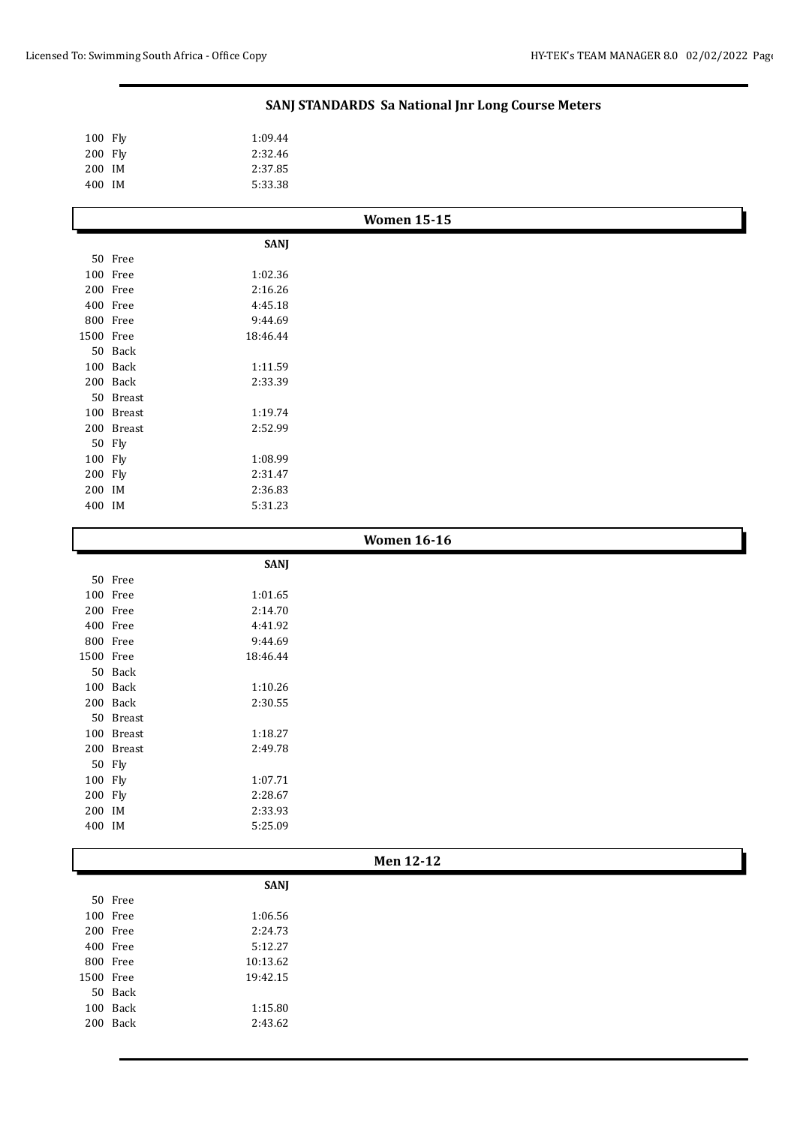ľ

ι

# **SANJ STANDARDS Sa National Jnr Long Course Meters**

| 100 Fly | 1:09.44 |
|---------|---------|
| 200 Fly | 2:32.46 |
| 200 IM  | 2:37.85 |
| 400 IM  | 5:33.38 |

|           | <b>Women 15-15</b> |             |  |  |
|-----------|--------------------|-------------|--|--|
|           |                    | <b>SANJ</b> |  |  |
|           | 50 Free            |             |  |  |
|           | 100 Free           | 1:02.36     |  |  |
|           | 200 Free           | 2:16.26     |  |  |
|           | 400 Free           | 4:45.18     |  |  |
|           | 800 Free           | 9:44.69     |  |  |
| 1500 Free |                    | 18:46.44    |  |  |
|           | 50 Back            |             |  |  |
|           | 100 Back           | 1:11.59     |  |  |
|           | 200 Back           | 2:33.39     |  |  |
|           | 50 Breast          |             |  |  |
|           | 100 Breast         | 1:19.74     |  |  |
|           | 200 Breast         | 2:52.99     |  |  |
|           | 50 Fly             |             |  |  |
| 100 Fly   |                    | 1:08.99     |  |  |
| 200 Fly   |                    | 2:31.47     |  |  |
| 200 IM    |                    | 2:36.83     |  |  |
| 400 IM    |                    | 5:31.23     |  |  |
|           |                    |             |  |  |

| <b>Women 16-16</b> |            |             |  |
|--------------------|------------|-------------|--|
|                    |            | <b>SANJ</b> |  |
|                    | 50 Free    |             |  |
|                    | 100 Free   | 1:01.65     |  |
|                    | 200 Free   | 2:14.70     |  |
|                    | 400 Free   | 4:41.92     |  |
|                    | 800 Free   | 9:44.69     |  |
| 1500 Free          |            | 18:46.44    |  |
|                    | 50 Back    |             |  |
|                    | 100 Back   | 1:10.26     |  |
|                    | 200 Back   | 2:30.55     |  |
|                    | 50 Breast  |             |  |
|                    | 100 Breast | 1:18.27     |  |
|                    | 200 Breast | 2:49.78     |  |
|                    | 50 Fly     |             |  |
| 100 Fly            |            | 1:07.71     |  |
| 200 Fly            |            | 2:28.67     |  |
| 200 IM             |            | 2:33.93     |  |
| 400 IM             |            | 5:25.09     |  |
|                    |            |             |  |

| len f<br>M |  |
|------------|--|
|------------|--|

|      |      | <b>SANJ</b> |
|------|------|-------------|
| 50   | Free |             |
| 100  | Free | 1:06.56     |
| 200  | Free | 2:24.73     |
| 400  | Free | 5:12.27     |
| 800  | Free | 10:13.62    |
| 1500 | Free | 19:42.15    |
| 50   | Back |             |
| 100  | Back | 1:15.80     |
| 200  | Back | 2:43.62     |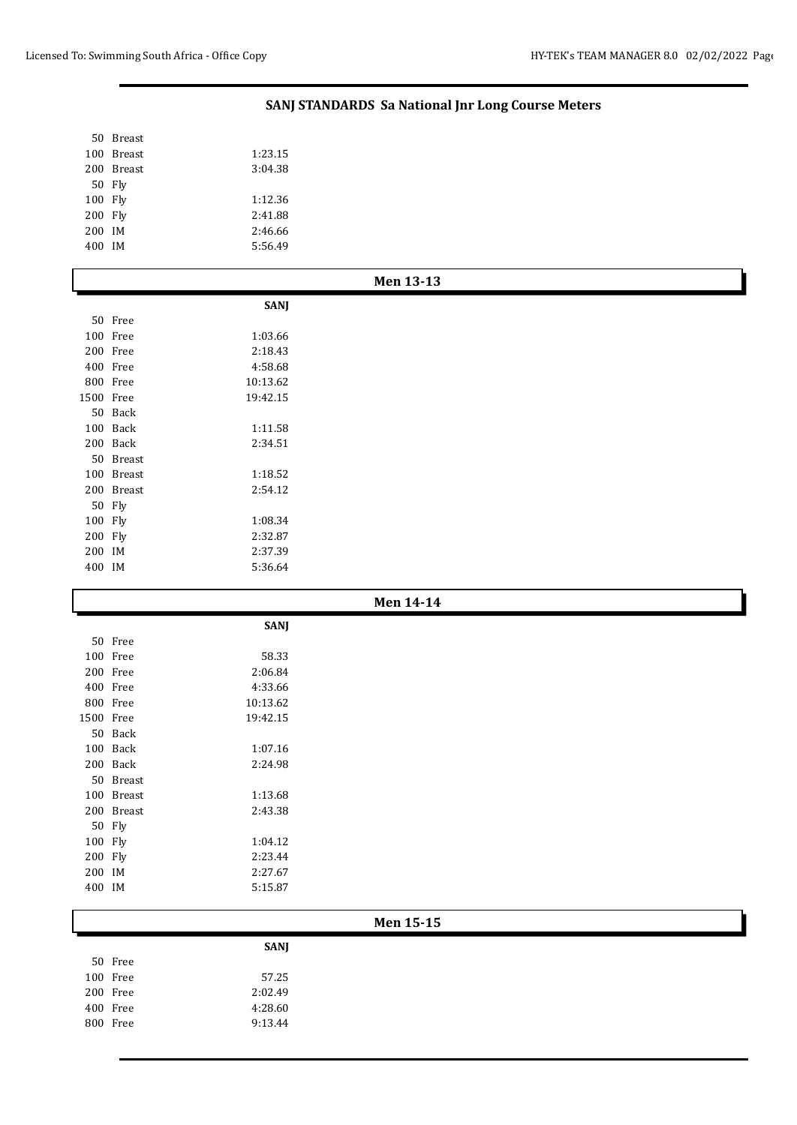Breast

# **SANJ STANDARDS Sa National Jnr Long Course Meters**

|                   | 100 Breast           | 1:23.15            |           |
|-------------------|----------------------|--------------------|-----------|
|                   | 200 Breast           | 3:04.38            |           |
|                   | 50 Fly               |                    |           |
| 100 Fly           |                      | 1:12.36            |           |
| 200 Fly           |                      | 2:41.88            |           |
| 200 IM            |                      | 2:46.66            |           |
| 400 IM            |                      | 5:56.49            |           |
|                   |                      |                    | Men 13-13 |
|                   |                      | <b>SANJ</b>        |           |
|                   | 50 Free              |                    |           |
|                   | 100 Free             | 1:03.66            |           |
|                   | 200 Free             | 2:18.43            |           |
|                   | 400 Free             | 4:58.68            |           |
|                   | 800 Free             | 10:13.62           |           |
| 1500 Free         |                      | 19:42.15           |           |
|                   | 50 Back              |                    |           |
|                   | 100 Back             | 1:11.58            |           |
|                   | 200 Back             | 2:34.51            |           |
|                   | 50 Breast            |                    |           |
|                   | 100 Breast           | 1:18.52            |           |
|                   | 200 Breast           | 2:54.12            |           |
|                   | 50 Fly               |                    |           |
| 100 Fly           |                      | 1:08.34            |           |
| 200 Fly           |                      | 2:32.87            |           |
| 200 IM            |                      | 2:37.39            |           |
| 400 IM            |                      | 5:36.64            |           |
|                   |                      |                    |           |
|                   |                      |                    | Men 14-14 |
|                   |                      |                    |           |
|                   |                      | <b>SANJ</b>        |           |
|                   | 50 Free              |                    |           |
|                   | 100 Free             | 58.33              |           |
|                   | 200 Free             | 2:06.84            |           |
|                   | 400 Free             | 4:33.66            |           |
|                   | 800 Free             | 10:13.62           |           |
| 1500 Free         |                      | 19:42.15           |           |
|                   | 50 Back              |                    |           |
|                   | $100\;$ Back         | 1:07.16            |           |
|                   | 200 Back             | 2:24.98            |           |
|                   | 50 Breast            |                    |           |
|                   | 100 Breast           | 1:13.68            |           |
|                   | 200 Breast           | 2:43.38            |           |
|                   | 50 Fly               |                    |           |
| 100 Fly           |                      | 1:04.12            |           |
| 200 Fly<br>200 IM |                      | 2:23.44<br>2:27.67 |           |
| 400 IM            |                      | 5:15.87            |           |
|                   |                      |                    |           |
|                   |                      |                    | Men 15-15 |
|                   |                      | <b>SANJ</b>        |           |
|                   | 50 Free              |                    |           |
|                   | 100 Free             | 57.25              |           |
|                   | 200 Free             | 2:02.49            |           |
|                   | 400 Free<br>800 Free | 4:28.60<br>9:13.44 |           |